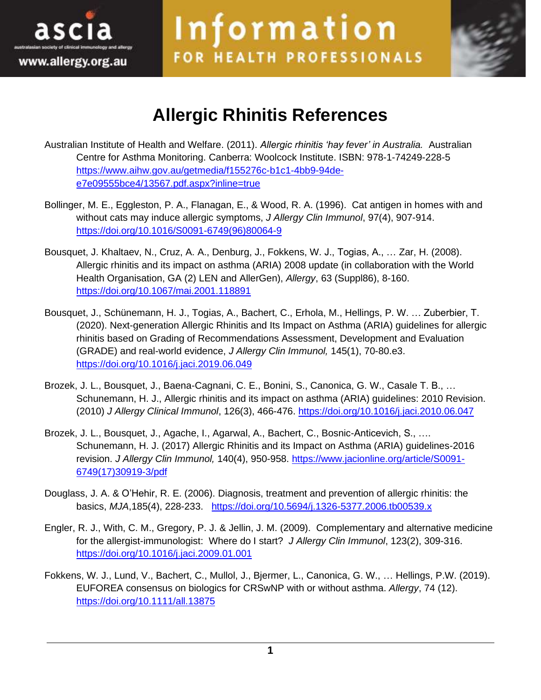



## **Allergic Rhinitis References**

Information

FOR HEALTH PROFESSIONALS

- Australian Institute of Health and Welfare. (2011). *Allergic rhinitis 'hay fever' in Australia.* Australian Centre for Asthma Monitoring. Canberra: Woolcock Institute. ISBN: 978-1-74249-228-5 [https://www.aihw.gov.au/getmedia/f155276c-b1c1-4bb9-94de](https://www.aihw.gov.au/getmedia/f155276c-b1c1-4bb9-94de-e7e09555bce4/13567.pdf.aspx?inline=true)[e7e09555bce4/13567.pdf.aspx?inline=true](https://www.aihw.gov.au/getmedia/f155276c-b1c1-4bb9-94de-e7e09555bce4/13567.pdf.aspx?inline=true)
- Bollinger, M. E., Eggleston, P. A., Flanagan, E., & Wood, R. A. (1996). Cat antigen in homes with and without cats may induce allergic symptoms, *J Allergy Clin Immunol*, 97(4), 907-914. [https://doi.org/10.1016/S0091-6749\(96\)80064-9](https://doi.org/10.1016/S0091-6749(96)80064-9)
- Bousquet, J. Khaltaev, N., Cruz, A. A., Denburg, J., Fokkens, W. J., Togias, A., … Zar, H. (2008). Allergic rhinitis and its impact on asthma (ARIA) 2008 update (in collaboration with the World Health Organisation, GA (2) LEN and AllerGen), *Allergy*, 63 (Suppl86), 8-160. <https://doi.org/10.1067/mai.2001.118891>
- [Bousquet, J.](https://www.ncbi.nlm.nih.gov/pubmed/?term=Bousquet%20J%5BAuthor%5D&cauthor=true&cauthor_uid=31627910), [Schünemann, H. J.](https://www.ncbi.nlm.nih.gov/pubmed/?term=Sch%C3%BCnemann%20HJ%5BAuthor%5D&cauthor=true&cauthor_uid=31627910), [Togias, A.](https://www.ncbi.nlm.nih.gov/pubmed/?term=Togias%20A%5BAuthor%5D&cauthor=true&cauthor_uid=31627910), [Bachert, C.](https://www.ncbi.nlm.nih.gov/pubmed/?term=Bachert%20C%5BAuthor%5D&cauthor=true&cauthor_uid=31627910), [Erhola, M.](https://www.ncbi.nlm.nih.gov/pubmed/?term=Erhola%20M%5BAuthor%5D&cauthor=true&cauthor_uid=31627910), [Hellings, P. W.](https://www.ncbi.nlm.nih.gov/pubmed/?term=Hellings%20PW%5BAuthor%5D&cauthor=true&cauthor_uid=31627910) … Zuberbier, T. (2020). Next-generation Allergic Rhinitis and Its Impact on Asthma (ARIA) guidelines for allergic rhinitis based on Grading of Recommendations Assessment, Development and Evaluation (GRADE) and real-world evidence, *J Allergy Clin Immunol,* 145(1), 70-80.e3. <https://doi.org/10.1016/j.jaci.2019.06.049>
- Brozek, J. L., Bousquet, J., Baena-Cagnani, C. E., Bonini, S., Canonica, G. W., Casale T. B., … Schunemann, H. J., Allergic rhinitis and its impact on asthma (ARIA) guidelines: 2010 Revision. (2010) *J Allergy Clinical Immunol*, 126(3), 466-476. <https://doi.org/10.1016/j.jaci.2010.06.047>
- Brozek, J. L., Bousquet, J., Agache, I., Agarwal, A., Bachert, C., Bosnic-Anticevich, S., …. Schunemann, H. J. (2017) Allergic Rhinitis and its Impact on Asthma (ARIA) guidelines-2016 revision. *[J Allergy Clin Immunol,](https://www.ncbi.nlm.nih.gov/pubmed/28602936)* 140(4), 950-958. [https://www.jacionline.org/article/S0091-](https://www.jacionline.org/article/S0091-6749(17)30919-3/pdf) [6749\(17\)30919-3/pdf](https://www.jacionline.org/article/S0091-6749(17)30919-3/pdf)
- Douglass, J. A. & O'Hehir, R. E. (2006). Diagnosis, treatment and prevention of allergic rhinitis: the basics, *MJA*,185(4), 228-233. <https://doi.org/10.5694/j.1326-5377.2006.tb00539.x>
- Engler, R. J., With, C. M., Gregory, P. J. & Jellin, J. M. (2009). Complementary and alternative medicine for the allergist-immunologist: Where do I start? *J Allergy Clin Immunol*, 123(2), 309-316. <https://doi.org/10.1016/j.jaci.2009.01.001>
- Fokkens, W. J., Lund, V., Bachert, C., Mullol, J., Bjermer, L., Canonica, G. W., … Hellings, P.W. (2019). EUFOREA consensus on biologics for CRSwNP with or without asthma. *Allergy*, 74 (12). <https://doi.org/10.1111/all.13875>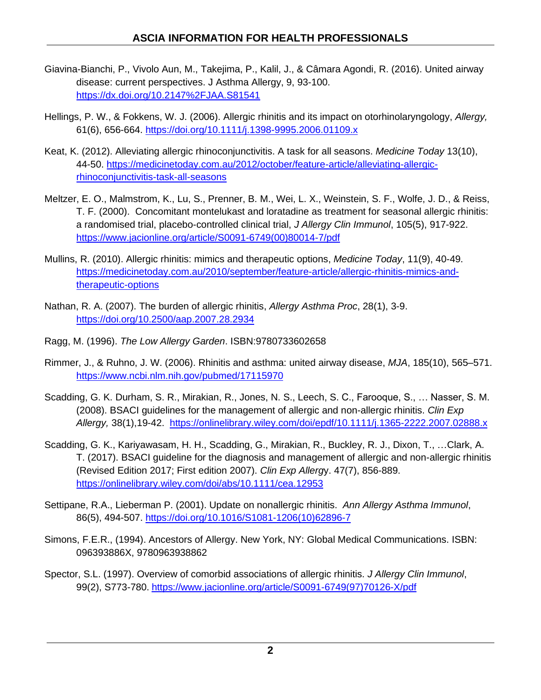- Giavina-Bianchi, P., Vivolo Aun, M., Takejima, P., Kalil, J., & Câmara Agondi, R. (2016). United airway disease: current perspectives. J Asthma Allergy, 9, 93-100. <https://dx.doi.org/10.2147%2FJAA.S81541>
- Hellings, P. W., & Fokkens, W. J. (2006). Allergic rhinitis and its impact on otorhinolaryngology, *Allergy,* 61(6), 656-664. <https://doi.org/10.1111/j.1398-9995.2006.01109.x>
- Keat, K. (2012). Alleviating allergic rhinoconjunctivitis. A task for all seasons. *Medicine Today* 13(10), 44-50. [https://medicinetoday.com.au/2012/october/feature-article/alleviating-allergic](https://medicinetoday.com.au/2012/october/feature-article/alleviating-allergic-rhinoconjunctivitis-task-all-seasons)[rhinoconjunctivitis-task-all-seasons](https://medicinetoday.com.au/2012/october/feature-article/alleviating-allergic-rhinoconjunctivitis-task-all-seasons)
- Meltzer, E. O., Malmstrom, K., Lu, S., Prenner, B. M., Wei, L. X., Weinstein, S. F., Wolfe, J. D., & Reiss, T. F. (2000). Concomitant montelukast and loratadine as treatment for seasonal allergic rhinitis: a randomised trial, placebo-controlled clinical trial, *J Allergy Clin Immunol*, 105(5), 917-922. [https://www.jacionline.org/article/S0091-6749\(00\)80014-7/pdf](https://www.jacionline.org/article/S0091-6749(00)80014-7/pdf)
- Mullins, R. (2010). Allergic rhinitis: mimics and therapeutic options, *Medicine Today*, 11(9), 40-49. [https://medicinetoday.com.au/2010/september/feature-article/allergic-rhinitis-mimics-and](https://medicinetoday.com.au/2010/september/feature-article/allergic-rhinitis-mimics-and-therapeutic-options)[therapeutic-options](https://medicinetoday.com.au/2010/september/feature-article/allergic-rhinitis-mimics-and-therapeutic-options)
- Nathan, R. A. (2007). The burden of allergic rhinitis, *Allergy Asthma Proc*, 28(1), 3-9. <https://doi.org/10.2500/aap.2007.28.2934>
- Ragg, M. (1996). *The Low Allergy Garden*. ISBN:9780733602658
- Rimmer, J., & Ruhno, J. W. (2006). Rhinitis and asthma: united airway disease, *MJA*, 185(10), 565–571. <https://www.ncbi.nlm.nih.gov/pubmed/17115970>
- Scadding, G. K. Durham, S. R., Mirakian, R., Jones, N. S., Leech, S. C., Farooque, S., … Nasser, S. M. (2008). BSACI guidelines for the management of allergic and non-allergic rhinitis. *Clin Exp Allergy,* 38(1),19-42. <https://onlinelibrary.wiley.com/doi/epdf/10.1111/j.1365-2222.2007.02888.x>
- [Scadding, G. K.](https://www.ncbi.nlm.nih.gov/pubmed/?term=Scadding%20GK%5BAuthor%5D&cauthor=true&cauthor_uid=30239057), [Kariyawasam, H. H.](https://www.ncbi.nlm.nih.gov/pubmed/?term=Kariyawasam%20HH%5BAuthor%5D&cauthor=true&cauthor_uid=30239057), [Scadding, G.](https://www.ncbi.nlm.nih.gov/pubmed/?term=Scadding%20G%5BAuthor%5D&cauthor=true&cauthor_uid=30239057), [Mirakian, R.](https://www.ncbi.nlm.nih.gov/pubmed/?term=Mirakian%20R%5BAuthor%5D&cauthor=true&cauthor_uid=30239057), [Buckley, R. J.](https://www.ncbi.nlm.nih.gov/pubmed/?term=Buckley%20RJ%5BAuthor%5D&cauthor=true&cauthor_uid=30239057), [Dixon, T.](https://www.ncbi.nlm.nih.gov/pubmed/?term=Dixon%20T%5BAuthor%5D&cauthor=true&cauthor_uid=30239057), […Clark, A.](https://www.ncbi.nlm.nih.gov/pubmed/?term=Clark%20AT%5BAuthor%5D&cauthor=true&cauthor_uid=30239057)  [T.](https://www.ncbi.nlm.nih.gov/pubmed/?term=Clark%20AT%5BAuthor%5D&cauthor=true&cauthor_uid=30239057) (2017). BSACI guideline for the diagnosis and management of allergic and non-allergic rhinitis (Revised Edition 2017; First edition 2007). *[Clin Exp Allerg](https://www.ncbi.nlm.nih.gov/pubmed/30239057)*y. 47(7), 856-889. <https://onlinelibrary.wiley.com/doi/abs/10.1111/cea.12953>
- Settipane, R.A., Lieberman P. (2001). Update on nonallergic rhinitis. *Ann Allergy Asthma Immunol*, 86(5), 494-507. [https://doi.org/10.1016/S1081-1206\(10\)62896-7](https://doi.org/10.1016/S1081-1206(10)62896-7)
- Simons, F.E.R., (1994). Ancestors of Allergy. New York, NY: Global Medical Communications. ISBN: 096393886X, 9780963938862
- Spector, S.L. (1997). Overview of comorbid associations of allergic rhinitis. *J Allergy Clin Immunol*, 99(2), S773-780. [https://www.jacionline.org/article/S0091-6749\(97\)70126-X/pdf](https://www.jacionline.org/article/S0091-6749(97)70126-X/pdf)